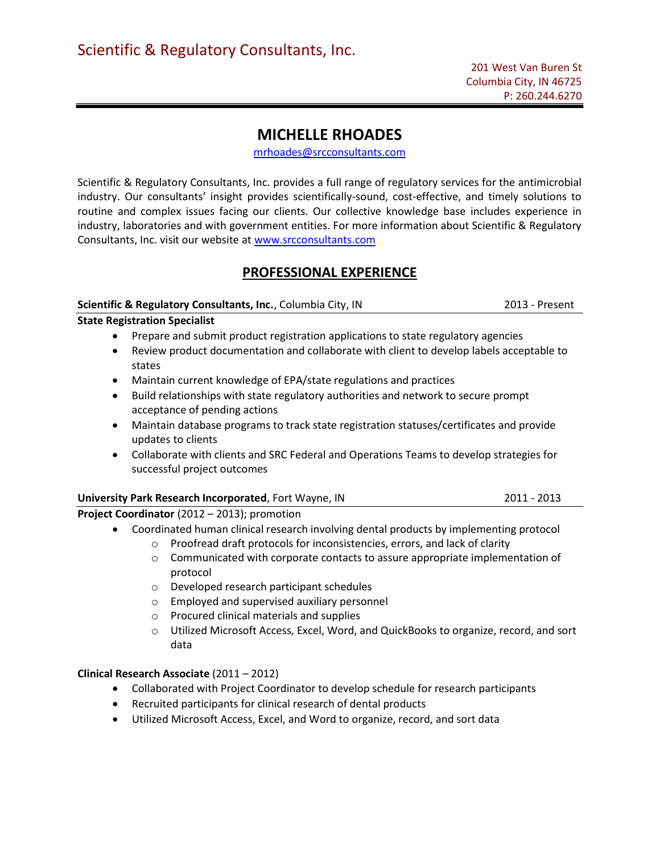# MICHELLE RHOADES

mrhoades@srcconsultants.com

Scientific & Regulatory Consultants, Inc. provides a full range of regulatory services for the antimicrobial industry. Our consultants' insight provides scientifically-sound, cost-effective, and timely solutions to routine and complex issues facing our clients. Our collective knowledge base includes experience in industry, laboratories and with government entities. For more information about Scientific & Regulatory Consultants, Inc. visit our website at www.srcconsultants.com

# PROFESSIONAL EXPERIENCE

#### Scientific & Regulatory Consultants, Inc., Columbia City, IN 2013 - Present

State Registration Specialist

- Prepare and submit product registration applications to state regulatory agencies
- Review product documentation and collaborate with client to develop labels acceptable to states
- Maintain current knowledge of EPA/state regulations and practices
- Build relationships with state regulatory authorities and network to secure prompt acceptance of pending actions
- Maintain database programs to track state registration statuses/certificates and provide updates to clients
- Collaborate with clients and SRC Federal and Operations Teams to develop strategies for successful project outcomes

| University Park Research Incorporated, Fort Wayne, IN                                    | 2011 - 2013 |
|------------------------------------------------------------------------------------------|-------------|
| <b>Project Coordinator</b> (2012 – 2013); promotion                                      |             |
| Let Constituted human elipical recognation distributed products but medianoming protocol |             |

- Coordinated human clinical research involving dental products by implementing protocol o Proofread draft protocols for inconsistencies, errors, and lack of clarity
	- o Communicated with corporate contacts to assure appropriate implementation of protocol
	- o Developed research participant schedules
	- o Employed and supervised auxiliary personnel
	- o Procured clinical materials and supplies
	- o Utilized Microsoft Access, Excel, Word, and QuickBooks to organize, record, and sort data

### Clinical Research Associate (2011 – 2012)

- Collaborated with Project Coordinator to develop schedule for research participants
- Recruited participants for clinical research of dental products
- Utilized Microsoft Access, Excel, and Word to organize, record, and sort data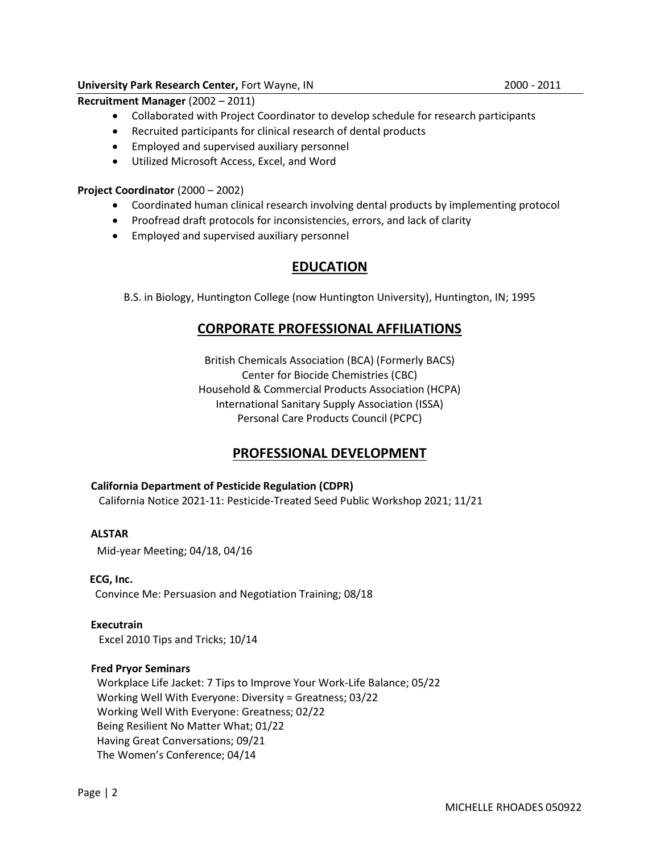## University Park Research Center, Fort Wayne, IN 2000 - 2011

- Collaborated with Project Coordinator to develop schedule for research participants
- Recruited participants for clinical research of dental products
- **•** Employed and supervised auxiliary personnel
- Utilized Microsoft Access, Excel, and Word

## Project Coordinator (2000 – 2002)

- Coordinated human clinical research involving dental products by implementing protocol
- Proofread draft protocols for inconsistencies, errors, and lack of clarity
- **•** Employed and supervised auxiliary personnel

# EDUCATION

B.S. in Biology, Huntington College (now Huntington University), Huntington, IN; 1995

# CORPORATE PROFESSIONAL AFFILIATIONS

British Chemicals Association (BCA) (Formerly BACS) Center for Biocide Chemistries (CBC) Household & Commercial Products Association (HCPA) International Sanitary Supply Association (ISSA) Personal Care Products Council (PCPC)

# PROFESSIONAL DEVELOPMENT

### California Department of Pesticide Regulation (CDPR)

California Notice 2021-11: Pesticide-Treated Seed Public Workshop 2021; 11/21

### ALSTAR

Mid-year Meeting; 04/18, 04/16

### ECG, Inc.

Convince Me: Persuasion and Negotiation Training; 08/18

### Executrain

Excel 2010 Tips and Tricks; 10/14

### Fred Pryor Seminars

Workplace Life Jacket: 7 Tips to Improve Your Work-Life Balance; 05/22 Working Well With Everyone: Diversity = Greatness; 03/22 Working Well With Everyone: Greatness; 02/22 Being Resilient No Matter What; 01/22 Having Great Conversations; 09/21 The Women's Conference; 04/14